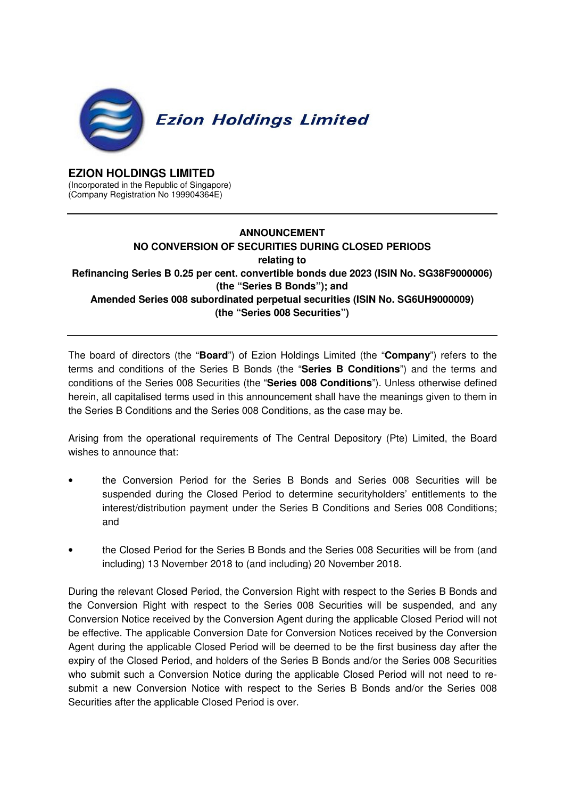

## **EZION HOLDINGS LIMITED**

(Incorporated in the Republic of Singapore) (Company Registration No 199904364E)

## **ANNOUNCEMENT NO CONVERSION OF SECURITIES DURING CLOSED PERIODS relating to Refinancing Series B 0.25 per cent. convertible bonds due 2023 (ISIN No. SG38F9000006) (the "Series B Bonds"); and Amended Series 008 subordinated perpetual securities (ISIN No. SG6UH9000009) (the "Series 008 Securities")**

The board of directors (the "**Board**") of Ezion Holdings Limited (the "**Company**") refers to the terms and conditions of the Series B Bonds (the "**Series B Conditions**") and the terms and conditions of the Series 008 Securities (the "**Series 008 Conditions**"). Unless otherwise defined herein, all capitalised terms used in this announcement shall have the meanings given to them in the Series B Conditions and the Series 008 Conditions, as the case may be.

Arising from the operational requirements of The Central Depository (Pte) Limited, the Board wishes to announce that:

- the Conversion Period for the Series B Bonds and Series 008 Securities will be suspended during the Closed Period to determine securityholders' entitlements to the interest/distribution payment under the Series B Conditions and Series 008 Conditions; and
- the Closed Period for the Series B Bonds and the Series 008 Securities will be from (and including) 13 November 2018 to (and including) 20 November 2018.

During the relevant Closed Period, the Conversion Right with respect to the Series B Bonds and the Conversion Right with respect to the Series 008 Securities will be suspended, and any Conversion Notice received by the Conversion Agent during the applicable Closed Period will not be effective. The applicable Conversion Date for Conversion Notices received by the Conversion Agent during the applicable Closed Period will be deemed to be the first business day after the expiry of the Closed Period, and holders of the Series B Bonds and/or the Series 008 Securities who submit such a Conversion Notice during the applicable Closed Period will not need to resubmit a new Conversion Notice with respect to the Series B Bonds and/or the Series 008 Securities after the applicable Closed Period is over.